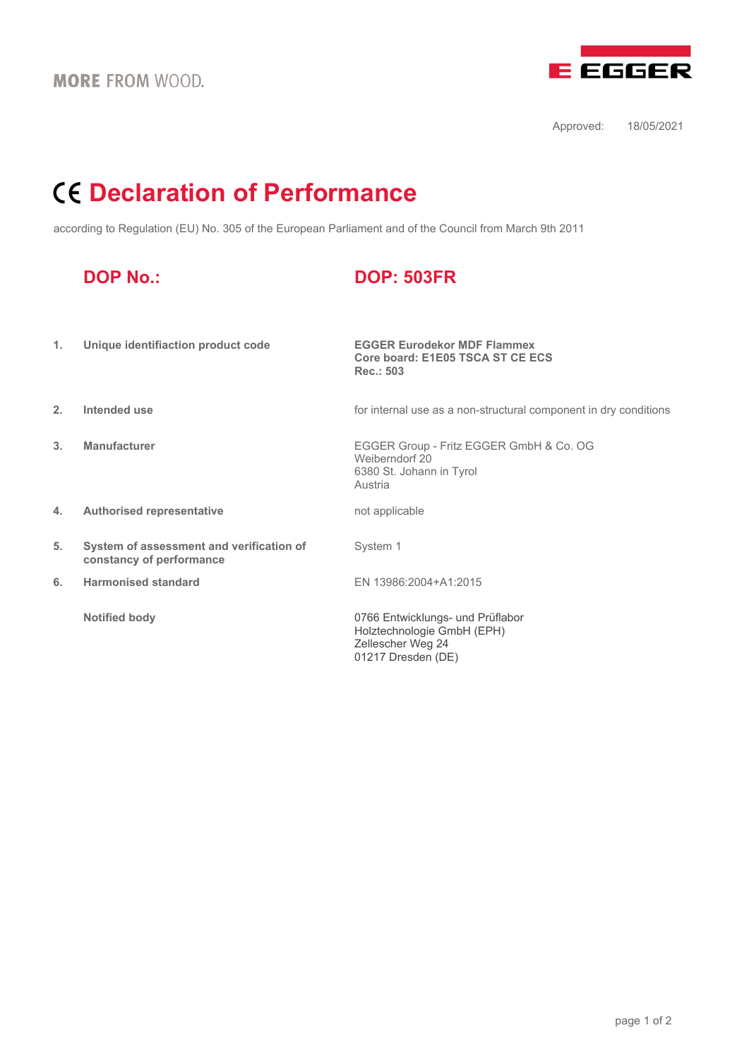

Approved: 18/05/2021

## **Declaration of Performance**

according to Regulation (EU) No. 305 of the European Parliament and of the Council from March 9th 2011

|    | <b>DOP No.:</b>                                                      | <b>DOP: 503FR</b>                                                                                         |
|----|----------------------------------------------------------------------|-----------------------------------------------------------------------------------------------------------|
| 1. | Unique identifiaction product code                                   | <b>EGGER Eurodekor MDF Flammex</b><br>Core board: E1E05 TSCA ST CE ECS<br>Rec.: 503                       |
| 2. | Intended use                                                         | for internal use as a non-structural component in dry conditions                                          |
| 3. | <b>Manufacturer</b>                                                  | EGGER Group - Fritz EGGER GmbH & Co. OG<br>Weiberndorf 20<br>6380 St. Johann in Tyrol<br>Austria          |
| 4. | <b>Authorised representative</b>                                     | not applicable                                                                                            |
| 5. | System of assessment and verification of<br>constancy of performance | System 1                                                                                                  |
| 6. | <b>Harmonised standard</b>                                           | EN 13986:2004+A1:2015                                                                                     |
|    | <b>Notified body</b>                                                 | 0766 Entwicklungs- und Prüflabor<br>Holztechnologie GmbH (EPH)<br>Zellescher Weg 24<br>01217 Dresden (DE) |